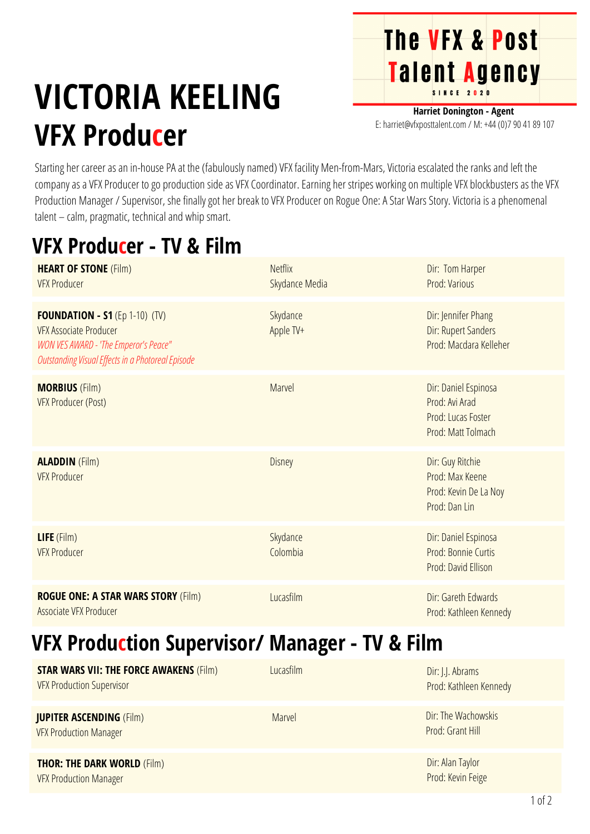## **The VFX & Post** Talent Agency

# **VICTORIA KEELING VFX Producer**

**Harriet Donington - Agent** E: harriet@vfxposttalent.com / M:+44(0)7904189107

Starting her career as an in-house PA at the (fabulously named) VFX facility Men-from-Mars, Victoria escalated the ranks and left the company as a VFX Producer to go production side as VFX Coordinator. Earning her stripes working on multiple VFX blockbusters as the VFX Production Manager / Supervisor, she finally got her break to VFX Producer on Rogue One: A Star Wars Story. Victoria is a phenomenal talent – calm, pragmatic, technical and whip smart.

#### **VFX Producer - TV & Film**

| <b>HEART OF STONE (Film)</b><br><b>VFX Producer</b>                                                                                                                  | <b>Netflix</b><br>Skydance Media | Dir: Tom Harper<br>Prod: Various                                                   |
|----------------------------------------------------------------------------------------------------------------------------------------------------------------------|----------------------------------|------------------------------------------------------------------------------------|
| <b>FOUNDATION - S1</b> (Ep 1-10) (TV)<br><b>VFX Associate Producer</b><br>WON VES AWARD - 'The Emperor's Peace"<br>Outstanding Visual Effects in a Photoreal Episode | Skydance<br>Apple TV+            | Dir: Jennifer Phang<br>Dir: Rupert Sanders<br>Prod: Macdara Kelleher               |
| <b>MORBIUS</b> (Film)<br><b>VFX Producer (Post)</b>                                                                                                                  | Marvel                           | Dir: Daniel Espinosa<br>Prod: Avi Arad<br>Prod: Lucas Foster<br>Prod: Matt Tolmach |
| <b>ALADDIN</b> (Film)<br><b>VFX Producer</b>                                                                                                                         | <b>Disney</b>                    | Dir: Guy Ritchie<br>Prod: Max Keene<br>Prod: Kevin De La Noy<br>Prod: Dan Lin      |
| LIFE (Film)<br><b>VFX Producer</b>                                                                                                                                   | Skydance<br>Colombia             | Dir: Daniel Espinosa<br>Prod: Bonnie Curtis<br>Prod: David Ellison                 |
| <b>ROGUE ONE: A STAR WARS STORY (Film)</b><br>Associate VFX Producer                                                                                                 | Lucasfilm                        | Dir: Gareth Edwards<br>Prod: Kathleen Kennedy                                      |

#### **VFX Production Supervisor/ Manager - TV & Film**

| <b>STAR WARS VII: THE FORCE AWAKENS (Film)</b><br><b>VFX Production Supervisor</b> | Lucasfilm | Dir: J.J. Abrams<br>Prod: Kathleen Kennedy |
|------------------------------------------------------------------------------------|-----------|--------------------------------------------|
| <b>JUPITER ASCENDING (Film)</b><br><b>VFX Production Manager</b>                   | Marvel    | Dir: The Wachowskis<br>Prod: Grant Hill    |
| <b>THOR: THE DARK WORLD (Film)</b><br><b>VFX Production Manager</b>                |           | Dir: Alan Taylor<br>Prod: Kevin Feige      |